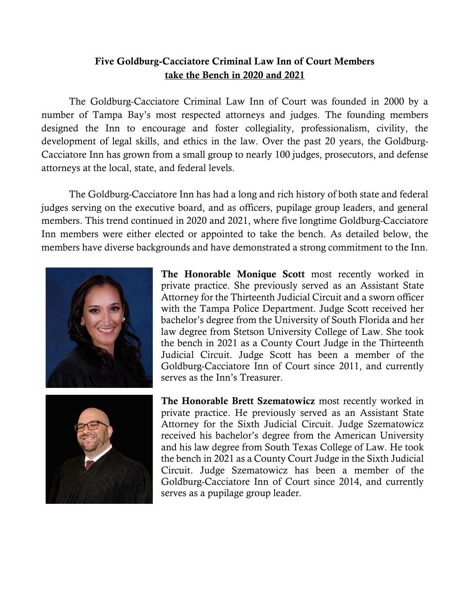## Five Goldburg-Cacciatore Criminal Law Inn of Court Members take the Bench in 2020 and 2021

The Goldburg-Cacciatore Criminal Law Inn of Court was founded in 2000 by a number of Tampa Bay's most respected attorneys and judges. The founding members designed the Inn to encourage and foster collegiality, professionalism, civility, the development of legal skills, and ethics in the law. Over the past 20 years, the Goldburg-Cacciatore Inn has grown from a small group to nearly 100 judges, prosecutors, and defense attorneys at the local, state, and federal levels.

The Goldburg-Cacciatore Inn has had a long and rich history of both state and federal judges serving on the executive board, and as officers, pupilage group leaders, and general members. This trend continued in 2020 and 2021, where five longtime Goldburg-Cacciatore Inn members were either elected or appointed to take the bench. As detailed below, the members have diverse backgrounds and have demonstrated a strong commitment to the Inn.





The Honorable Monique Scott most recently worked in private practice. She previously served as an Assistant State Attorney for the Thirteenth Judicial Circuit and a sworn officer with the Tampa Police Department. Judge Scott received her bachelor's degree from the University of South Florida and her law degree from Stetson University College of Law. She took the bench in 2021 as a County Court Judge in the Thirteenth Judicial Circuit. Judge Scott has been a member of the Goldburg-Cacciatore Inn of Court since 2011, and currently serves as the Inn's Treasurer.

The Honorable Brett Szematowicz most recently worked in private practice. He previously served as an Assistant State Attorney for the Sixth Judicial Circuit. Judge Szematowicz received his bachelor's degree from the American University and his law degree from South Texas College of Law. He took the bench in 2021 as a County Court Judge in the Sixth Judicial Circuit. Judge Szematowicz has been a member of the Goldburg-Cacciatore Inn of Court since 2014, and currently serves as a pupilage group leader.